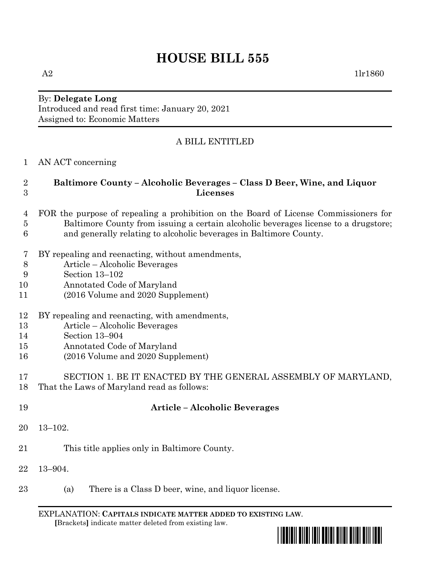# **HOUSE BILL 555**

 $A2$  1lr1860

## By: **Delegate Long** Introduced and read first time: January 20, 2021 Assigned to: Economic Matters

# A BILL ENTITLED

AN ACT concerning

## **Baltimore County – Alcoholic Beverages – Class D Beer, Wine, and Liquor Licenses**

- FOR the purpose of repealing a prohibition on the Board of License Commissioners for Baltimore County from issuing a certain alcoholic beverages license to a drugstore; and generally relating to alcoholic beverages in Baltimore County.
- BY repealing and reenacting, without amendments,
- Article Alcoholic Beverages
- Section 13–102
- Annotated Code of Maryland
- (2016 Volume and 2020 Supplement)
- BY repealing and reenacting, with amendments,
- Article Alcoholic Beverages
- Section 13–904
- Annotated Code of Maryland
- (2016 Volume and 2020 Supplement)
- SECTION 1. BE IT ENACTED BY THE GENERAL ASSEMBLY OF MARYLAND, That the Laws of Maryland read as follows:

| 19     | <b>Article – Alcoholic Beverages</b>                      |
|--------|-----------------------------------------------------------|
| 20     | $13 - 102.$                                               |
| 21     | This title applies only in Baltimore County.              |
| $22\,$ | $13 - 904.$                                               |
| 23     | There is a Class D beer, wine, and liquor license.<br>(a) |

EXPLANATION: **CAPITALS INDICATE MATTER ADDED TO EXISTING LAW**.  **[**Brackets**]** indicate matter deleted from existing law.